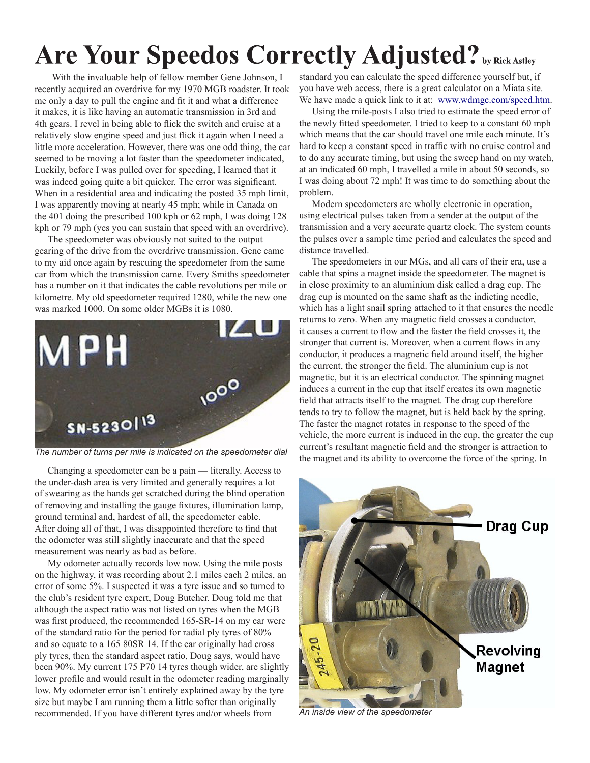## Are Your Speedos Correctly Adjusted? by Rick Astley

With the invaluable help of fellow member Gene Johnson, I recently acquired an overdrive for my 1970 MGB roadster. It took me only a day to pull the engine and fit it and what a difference it makes, it is like having an automatic transmission in 3rd and 4th gears. I revel in being able to flick the switch and cruise at a relatively slow engine speed and just flick it again when I need a little more acceleration. However, there was one odd thing, the car seemed to be moving a lot faster than the speedometer indicated, Luckily, before I was pulled over for speeding, I learned that it was indeed going quite a bit quicker. The error was significant. When in a residential area and indicating the posted 35 mph limit, I was apparently moving at nearly 45 mph; while in Canada on the 401 doing the prescribed 100 kph or 62 mph, I was doing 128 kph or 79 mph (yes you can sustain that speed with an overdrive).

The speedometer was obviously not suited to the output gearing of the drive from the overdrive transmission. Gene came to my aid once again by rescuing the speedometer from the same car from which the transmission came. Every Smiths speedometer has a number on it that indicates the cable revolutions per mile or kilometre. My old speedometer required 1280, while the new one was marked 1000. On some older MGBs it is 1080.



*The number of turns per mile is indicated on the speedometer dial*

Changing a speedometer can be a pain — literally. Access to the under-dash area is very limited and generally requires a lot of swearing as the hands get scratched during the blind operation of removing and installing the gauge fixtures, illumination lamp, ground terminal and, hardest of all, the speedometer cable. After doing all of that, I was disappointed therefore to find that the odometer was still slightly inaccurate and that the speed measurement was nearly as bad as before.

My odometer actually records low now. Using the mile posts on the highway, it was recording about 2.1 miles each 2 miles, an error of some 5%. I suspected it was a tyre issue and so turned to the club's resident tyre expert, Doug Butcher. Doug told me that although the aspect ratio was not listed on tyres when the MGB was first produced, the recommended 165-SR-14 on my car were of the standard ratio for the period for radial ply tyres of 80% and so equate to a 165 80SR 14. If the car originally had cross ply tyres, then the standard aspect ratio, Doug says, would have been 90%. My current 175 P70 14 tyres though wider, are slightly lower profile and would result in the odometer reading marginally low. My odometer error isn't entirely explained away by the tyre size but maybe I am running them a little softer than originally recommended. If you have different tyres and/or wheels from

standard you can calculate the speed difference yourself but, if you have web access, there is a great calculator on a Miata site. We have made a quick link to it at: [www.wdmgc.com/speed.htm.](www.wdmgc.com/speed.htm)

Using the mile-posts I also tried to estimate the speed error of the newly fitted speedometer. I tried to keep to a constant 60 mph which means that the car should travel one mile each minute. It's hard to keep a constant speed in traffic with no cruise control and to do any accurate timing, but using the sweep hand on my watch, at an indicated 60 mph, I travelled a mile in about 50 seconds, so I was doing about 72 mph! It was time to do something about the problem.

Modern speedometers are wholly electronic in operation, using electrical pulses taken from a sender at the output of the transmission and a very accurate quartz clock. The system counts the pulses over a sample time period and calculates the speed and distance travelled.

The speedometers in our MGs, and all cars of their era, use a cable that spins a magnet inside the speedometer. The magnet is in close proximity to an aluminium disk called a drag cup. The drag cup is mounted on the same shaft as the indicting needle, which has a light snail spring attached to it that ensures the needle returns to zero. When any magnetic field crosses a conductor, it causes a current to flow and the faster the field crosses it, the stronger that current is. Moreover, when a current flows in any conductor, it produces a magnetic field around itself, the higher the current, the stronger the field. The aluminium cup is not magnetic, but it is an electrical conductor. The spinning magnet induces a current in the cup that itself creates its own magnetic field that attracts itself to the magnet. The drag cup therefore tends to try to follow the magnet, but is held back by the spring. The faster the magnet rotates in response to the speed of the vehicle, the more current is induced in the cup, the greater the cup current's resultant magnetic field and the stronger is attraction to the magnet and its ability to overcome the force of the spring. In



*An inside view of the speedometer*